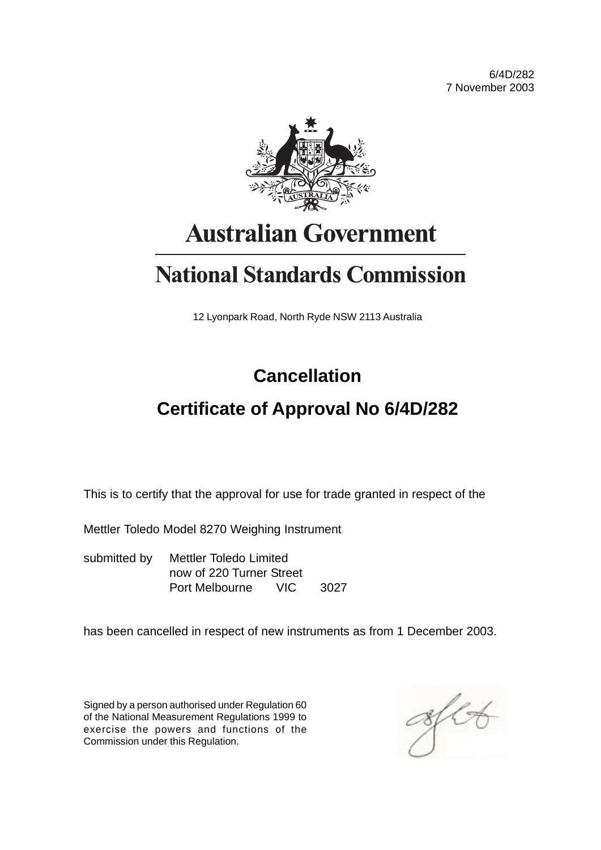6/4D/282 7 November 2003



# **Australian Government**

# **National Standards Commission**

12 Lyonpark Road, North Ryde NSW 2113 Australia

## **Cancellation**

## **Certificate of Approval No 6/4D/282**

This is to certify that the approval for use for trade granted in respect of the

Mettler Toledo Model 8270 Weighing Instrument

submitted by Mettler Toledo Limited now of 220 Turner Street Port Melbourne VIC 3027

has been cancelled in respect of new instruments as from 1 December 2003.

Signed by a person authorised under Regulation 60 of the National Measurement Regulations 1999 to exercise the powers and functions of the Commission under this Regulation.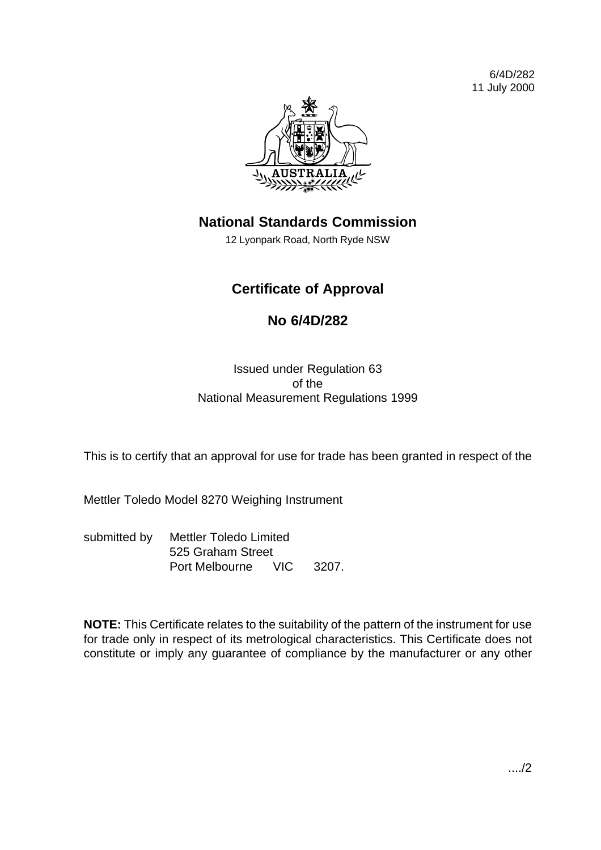6/4D/282 11 July 2000



## **National Standards Commission**

12 Lyonpark Road, North Ryde NSW

### **Certificate of Approval**

### **No 6/4D/282**

Issued under Regulation 63 of the National Measurement Regulations 1999

This is to certify that an approval for use for trade has been granted in respect of the

Mettler Toledo Model 8270 Weighing Instrument

submitted by Mettler Toledo Limited 525 Graham Street Port Melbourne VIC 3207.

**NOTE:** This Certificate relates to the suitability of the pattern of the instrument for use for trade only in respect of its metrological characteristics. This Certificate does not constitute or imply any guarantee of compliance by the manufacturer or any other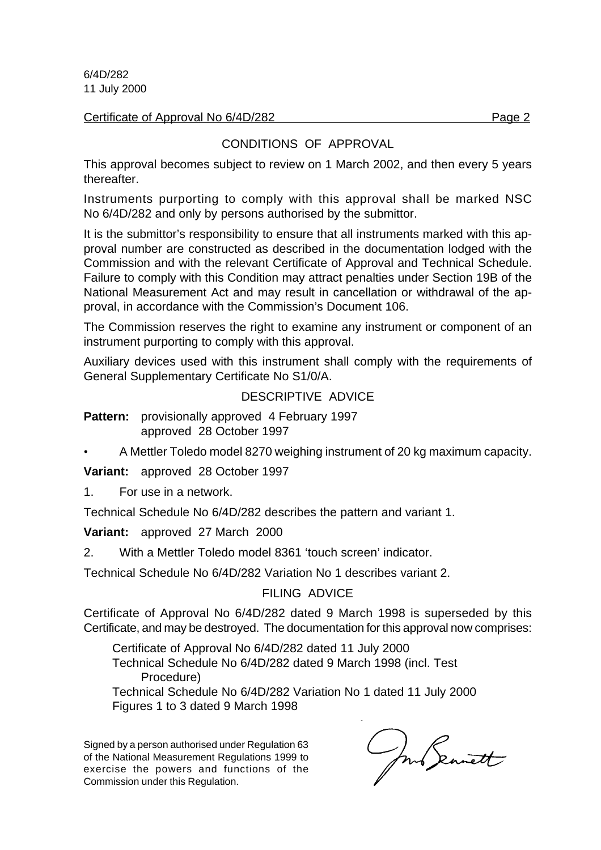6/4D/282 11 July 2000

Certificate of Approval No 6/4D/282 Page 2

#### CONDITIONS OF APPROVAL

This approval becomes subject to review on 1 March 2002, and then every 5 years thereafter.

Instruments purporting to comply with this approval shall be marked NSC No 6/4D/282 and only by persons authorised by the submittor.

It is the submittor's responsibility to ensure that all instruments marked with this approval number are constructed as described in the documentation lodged with the Commission and with the relevant Certificate of Approval and Technical Schedule. Failure to comply with this Condition may attract penalties under Section 19B of the National Measurement Act and may result in cancellation or withdrawal of the approval, in accordance with the Commission's Document 106.

The Commission reserves the right to examine any instrument or component of an instrument purporting to comply with this approval.

Auxiliary devices used with this instrument shall comply with the requirements of General Supplementary Certificate No S1/0/A.

#### DESCRIPTIVE ADVICE

- **Pattern:** provisionally approved 4 February 1997 approved 28 October 1997
- A Mettler Toledo model 8270 weighing instrument of 20 kg maximum capacity.

**Variant:** approved 28 October 1997

1. For use in a network.

Technical Schedule No 6/4D/282 describes the pattern and variant 1.

#### **Variant:** approved 27 March 2000

2. With a Mettler Toledo model 8361 'touch screen' indicator.

Technical Schedule No 6/4D/282 Variation No 1 describes variant 2.

#### FILING ADVICE

Certificate of Approval No 6/4D/282 dated 9 March 1998 is superseded by this Certificate, and may be destroyed. The documentation for this approval now comprises:

Certificate of Approval No 6/4D/282 dated 11 July 2000 Technical Schedule No 6/4D/282 dated 9 March 1998 (incl. Test Procedure)

Technical Schedule No 6/4D/282 Variation No 1 dated 11 July 2000 Figures 1 to 3 dated 9 March 1998

Signed by a person authorised under Regulation 63 of the National Measurement Regulations 1999 to exercise the powers and functions of the Commission under this Regulation.

Jun Seanett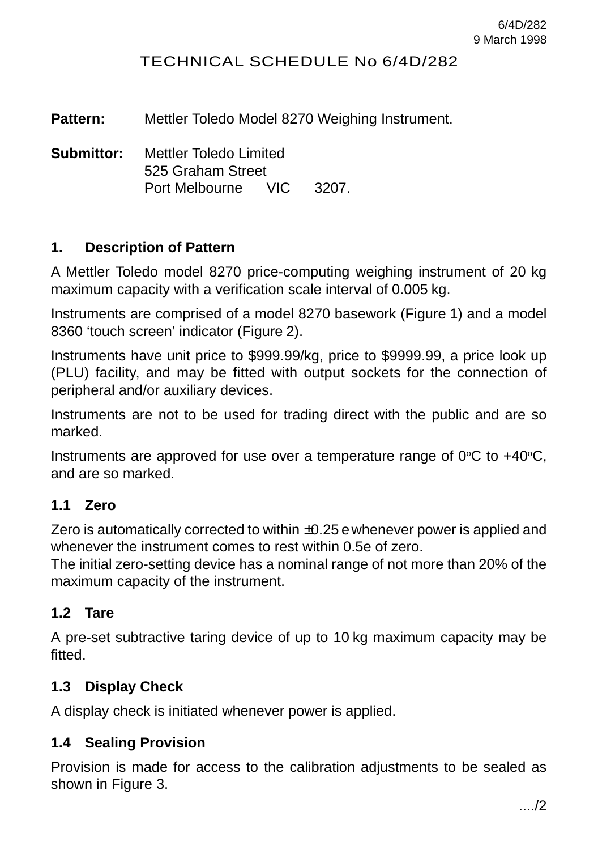#### TECHNICAL SCHEDULE No 6/4D/282

**Pattern:** Mettler Toledo Model 8270 Weighing Instrument.

**Submittor:** Mettler Toledo Limited 525 Graham Street Port Melbourne VIC 3207.

#### **1. Description of Pattern**

A Mettler Toledo model 8270 price-computing weighing instrument of 20 kg maximum capacity with a verification scale interval of 0.005 kg.

Instruments are comprised of a model 8270 basework (Figure 1) and a model 8360 'touch screen' indicator (Figure 2).

Instruments have unit price to \$999.99/kg, price to \$9999.99, a price look up (PLU) facility, and may be fitted with output sockets for the connection of peripheral and/or auxiliary devices.

Instruments are not to be used for trading direct with the public and are so marked.

Instruments are approved for use over a temperature range of  $0^{\circ}C$  to +40 $^{\circ}C$ . and are so marked.

#### **1.1 Zero**

Zero is automatically corrected to within  $\pm 0.25$  ewhenever power is applied and whenever the instrument comes to rest within 0.5e of zero.

The initial zero-setting device has a nominal range of not more than 20% of the maximum capacity of the instrument.

#### **1.2 Tare**

A pre-set subtractive taring device of up to 10 kg maximum capacity may be fitted.

#### **1.3 Display Check**

A display check is initiated whenever power is applied.

#### **1.4 Sealing Provision**

Provision is made for access to the calibration adjustments to be sealed as shown in Figure 3.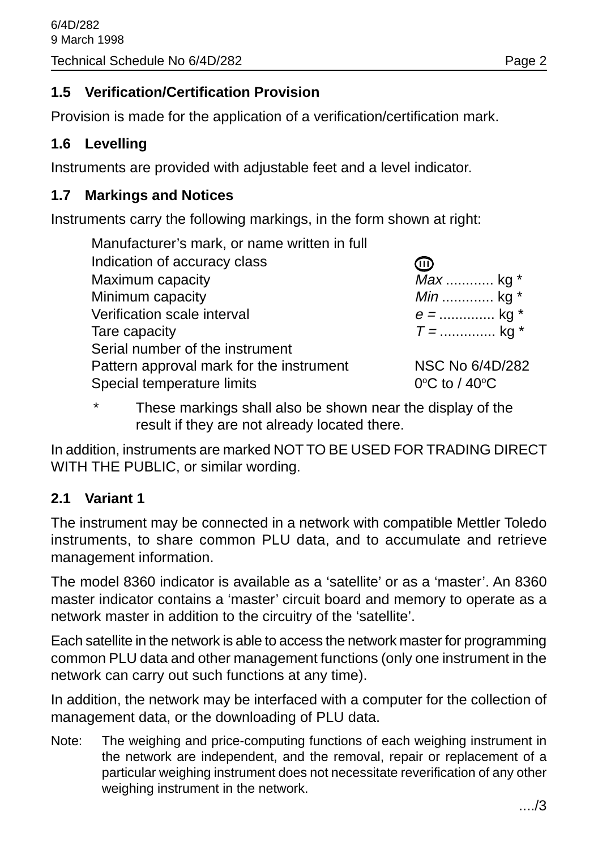#### **1.5 Verification/Certification Provision**

Provision is made for the application of a verification/certification mark.

#### **1.6 Levelling**

Instruments are provided with adjustable feet and a level indicator.

#### **1.7 Markings and Notices**

Instruments carry the following markings, in the form shown at right:

| Manufacturer's mark, or name written in full |                                    |
|----------------------------------------------|------------------------------------|
| Indication of accuracy class                 | (III)                              |
| Maximum capacity                             | Max  kg *                          |
| Minimum capacity                             | <i>Min</i> kg $*$                  |
| Verification scale interval                  | $e =$ kg *                         |
| Tare capacity                                | $T =$ kg *                         |
| Serial number of the instrument              |                                    |
| Pattern approval mark for the instrument     | NSC No 6/4D/282                    |
| Special temperature limits                   | $0^{\circ}$ C to / 40 $^{\circ}$ C |

These markings shall also be shown near the display of the result if they are not already located there.

In addition, instruments are marked NOT TO BE USED FOR TRADING DIRECT WITH THE PUBLIC, or similar wording.

#### **2.1 Variant 1**

The instrument may be connected in a network with compatible Mettler Toledo instruments, to share common PLU data, and to accumulate and retrieve management information.

The model 8360 indicator is available as a 'satellite' or as a 'master'. An 8360 master indicator contains a 'master' circuit board and memory to operate as a network master in addition to the circuitry of the 'satellite'.

Each satellite in the network is able to access the network master for programming common PLU data and other management functions (only one instrument in the network can carry out such functions at any time).

In addition, the network may be interfaced with a computer for the collection of management data, or the downloading of PLU data.

Note: The weighing and price-computing functions of each weighing instrument in the network are independent, and the removal, repair or replacement of a particular weighing instrument does not necessitate reverification of any other weighing instrument in the network.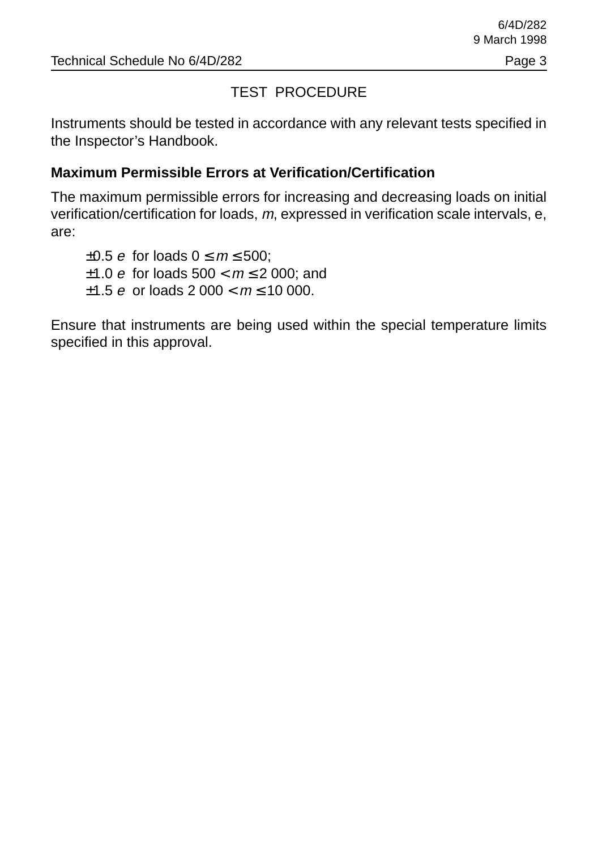#### TEST PROCEDURE

Instruments should be tested in accordance with any relevant tests specified in the Inspector's Handbook.

#### **Maximum Permissible Errors at Verification/Certification**

The maximum permissible errors for increasing and decreasing loads on initial verification/certification for loads, m, expressed in verification scale intervals, e, are:

 $\pm 0.5$  e for loads  $0 \le m \le 500$ : ±1.0 *e* for loads  $500 < m \le 2000$ ; and  $\pm 1.5$  e or loads 2 000 <  $m \le 10$  000.

Ensure that instruments are being used within the special temperature limits specified in this approval.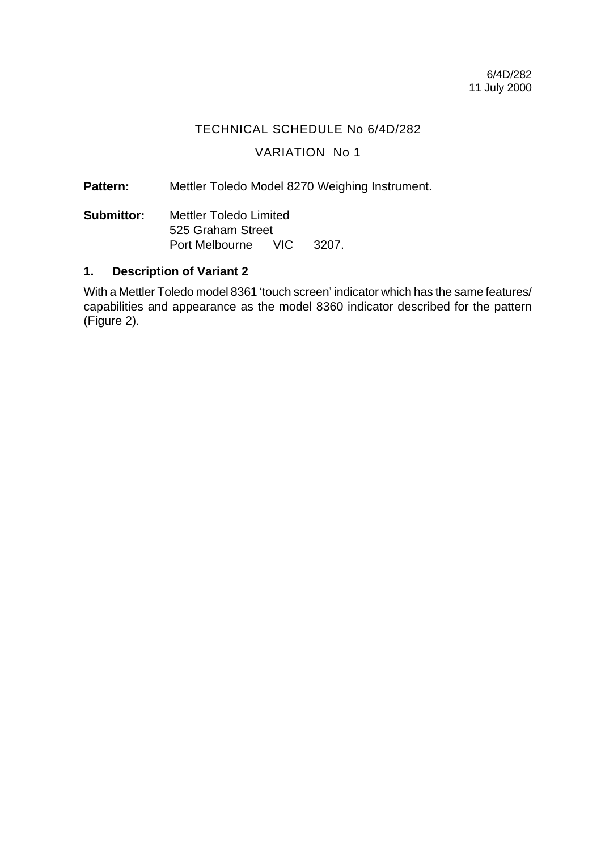#### TECHNICAL SCHEDULE No 6/4D/282

#### VARIATION No 1

Pattern: Mettler Toledo Model 8270 Weighing Instrument.

**Submittor:** Mettler Toledo Limited 525 Graham Street Port Melbourne VIC 3207.

#### **1. Description of Variant 2**

With a Mettler Toledo model 8361 'touch screen' indicator which has the same features/ capabilities and appearance as the model 8360 indicator described for the pattern (Figure 2).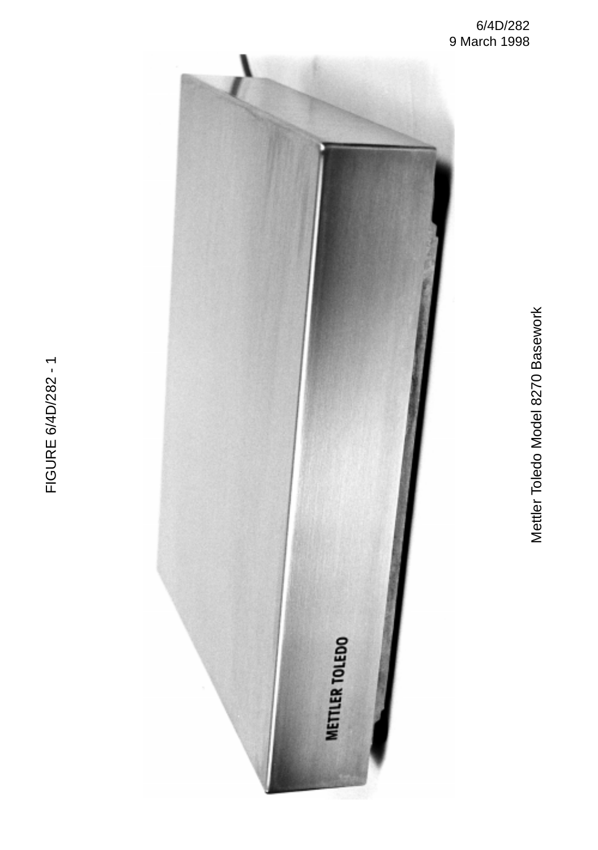Mettler Toledo Model 8270 Basework Mettler Toledo Model 8270 Basework



FIGURE 6/4D/282 - 1 FIGURE 6/4D/282 - 1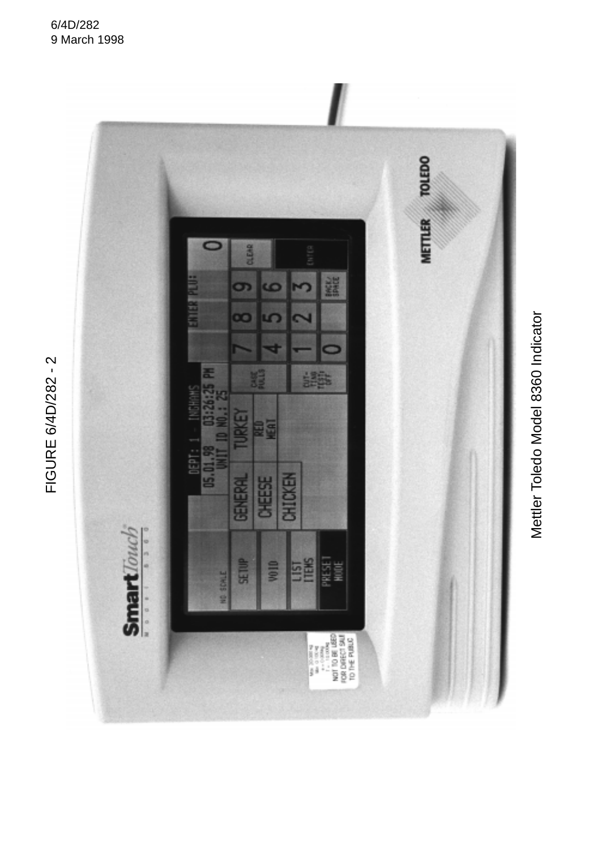

Mettler Toledo Model 8360 Indicator Mettler Toledo Model 8360 Indicator